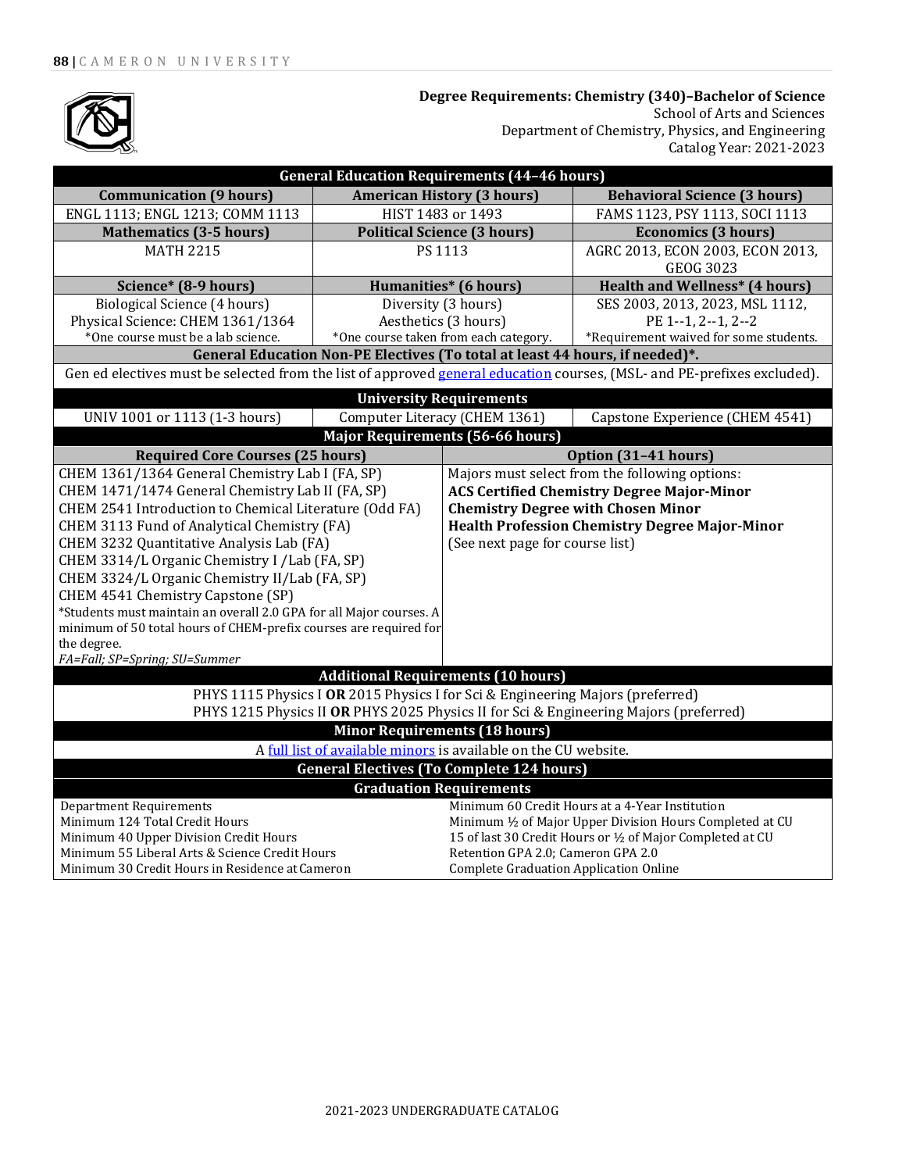

**Degree Requirements: Chemistry (340)–Bachelor of Science** School of Arts and Sciences Department of Chemistry, Physics, and Engineering Catalog Year: 2021-2023

| <b>General Education Requirements (44-46 hours)</b>                                                                     |                                       |                                                            |                                                 |  |
|-------------------------------------------------------------------------------------------------------------------------|---------------------------------------|------------------------------------------------------------|-------------------------------------------------|--|
| <b>Communication (9 hours)</b>                                                                                          | <b>American History (3 hours)</b>     |                                                            | <b>Behavioral Science (3 hours)</b>             |  |
| ENGL 1113; ENGL 1213; COMM 1113                                                                                         | HIST 1483 or 1493                     |                                                            | FAMS 1123, PSY 1113, SOCI 1113                  |  |
| <b>Mathematics (3-5 hours)</b>                                                                                          | <b>Political Science (3 hours)</b>    |                                                            | <b>Economics (3 hours)</b>                      |  |
| <b>MATH 2215</b>                                                                                                        | PS 1113                               |                                                            | AGRC 2013, ECON 2003, ECON 2013,                |  |
|                                                                                                                         |                                       |                                                            | <b>GEOG 3023</b>                                |  |
| Science* (8-9 hours)                                                                                                    | <b>Humanities*</b> (6 hours)          |                                                            | <b>Health and Wellness* (4 hours)</b>           |  |
| <b>Biological Science (4 hours)</b>                                                                                     | Diversity (3 hours)                   |                                                            | SES 2003, 2013, 2023, MSL 1112,                 |  |
| Physical Science: CHEM 1361/1364                                                                                        | Aesthetics (3 hours)                  |                                                            | PE 1--1, 2--1, 2--2                             |  |
| *One course must be a lab science.                                                                                      | *One course taken from each category. |                                                            | *Requirement waived for some students.          |  |
| General Education Non-PE Electives (To total at least 44 hours, if needed)*.                                            |                                       |                                                            |                                                 |  |
| Gen ed electives must be selected from the list of approved general education courses, (MSL- and PE-prefixes excluded). |                                       |                                                            |                                                 |  |
| <b>University Requirements</b>                                                                                          |                                       |                                                            |                                                 |  |
| UNIV 1001 or 1113 (1-3 hours)<br>Computer Literacy (CHEM 1361)                                                          |                                       |                                                            | Capstone Experience (CHEM 4541)                 |  |
| <b>Major Requirements (56-66 hours)</b>                                                                                 |                                       |                                                            |                                                 |  |
| <b>Required Core Courses (25 hours)</b>                                                                                 |                                       |                                                            | Option (31-41 hours)                            |  |
| CHEM 1361/1364 General Chemistry Lab I (FA, SP)                                                                         |                                       | Majors must select from the following options:             |                                                 |  |
| CHEM 1471/1474 General Chemistry Lab II (FA, SP)                                                                        |                                       | <b>ACS Certified Chemistry Degree Major-Minor</b>          |                                                 |  |
| CHEM 2541 Introduction to Chemical Literature (Odd FA)                                                                  |                                       | <b>Chemistry Degree with Chosen Minor</b>                  |                                                 |  |
| CHEM 3113 Fund of Analytical Chemistry (FA)                                                                             |                                       | <b>Health Profession Chemistry Degree Major-Minor</b>      |                                                 |  |
| CHEM 3232 Quantitative Analysis Lab (FA)                                                                                |                                       | (See next page for course list)                            |                                                 |  |
| CHEM 3314/L Organic Chemistry I /Lab (FA, SP)                                                                           |                                       |                                                            |                                                 |  |
| CHEM 3324/L Organic Chemistry II/Lab (FA, SP)                                                                           |                                       |                                                            |                                                 |  |
| CHEM 4541 Chemistry Capstone (SP)                                                                                       |                                       |                                                            |                                                 |  |
| *Students must maintain an overall 2.0 GPA for all Major courses. A                                                     |                                       |                                                            |                                                 |  |
| minimum of 50 total hours of CHEM-prefix courses are required for                                                       |                                       |                                                            |                                                 |  |
| the degree.                                                                                                             |                                       |                                                            |                                                 |  |
| FA=Fall; SP=Spring; SU=Summer                                                                                           |                                       |                                                            |                                                 |  |
| <b>Additional Requirements (10 hours)</b>                                                                               |                                       |                                                            |                                                 |  |
| PHYS 1115 Physics I OR 2015 Physics I for Sci & Engineering Majors (preferred)                                          |                                       |                                                            |                                                 |  |
| PHYS 1215 Physics II OR PHYS 2025 Physics II for Sci & Engineering Majors (preferred)                                   |                                       |                                                            |                                                 |  |
| <b>Minor Requirements (18 hours)</b>                                                                                    |                                       |                                                            |                                                 |  |
| A full list of available minors is available on the CU website.                                                         |                                       |                                                            |                                                 |  |
| <b>General Electives (To Complete 124 hours)</b>                                                                        |                                       |                                                            |                                                 |  |
| <b>Graduation Requirements</b>                                                                                          |                                       |                                                            |                                                 |  |
| <b>Department Requirements</b>                                                                                          |                                       |                                                            | Minimum 60 Credit Hours at a 4-Year Institution |  |
| Minimum 124 Total Credit Hours                                                                                          |                                       | Minimum 1/2 of Major Upper Division Hours Completed at CU  |                                                 |  |
| Minimum 40 Upper Division Credit Hours                                                                                  |                                       | 15 of last 30 Credit Hours or 1/2 of Major Completed at CU |                                                 |  |
| Minimum 55 Liberal Arts & Science Credit Hours                                                                          |                                       | Retention GPA 2.0; Cameron GPA 2.0                         |                                                 |  |
| Minimum 30 Credit Hours in Residence at Cameron                                                                         |                                       | <b>Complete Graduation Application Online</b>              |                                                 |  |